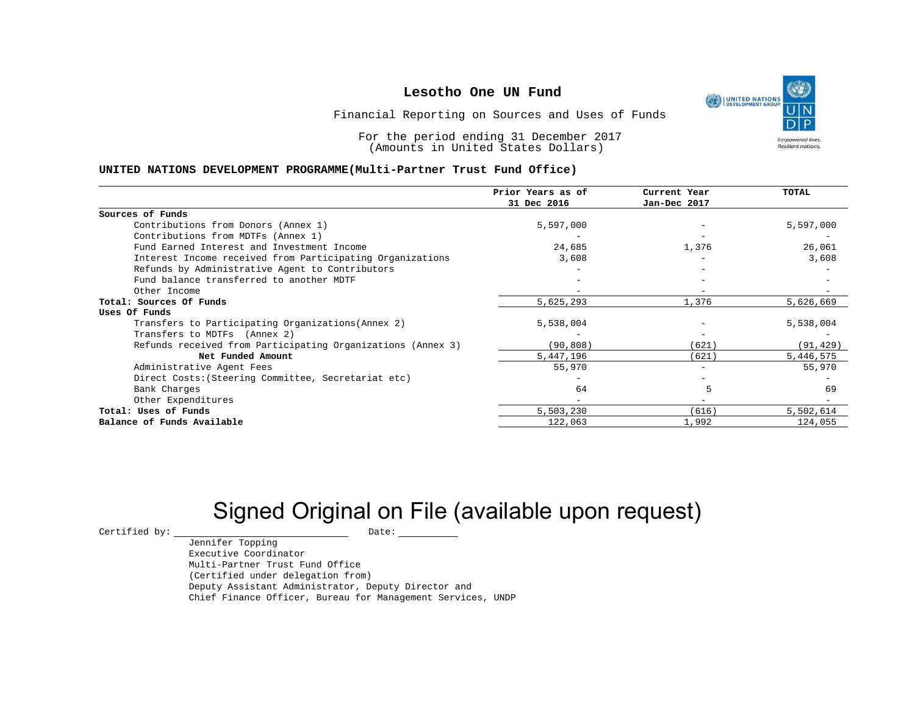UNITED NATIONS **Empowered lives Resilient nations.** 

Financial Reporting on Sources and Uses of Funds

For the period ending 31 December 2017 (Amounts in United States Dollars)

#### **UNITED NATIONS DEVELOPMENT PROGRAMME(Multi-Partner Trust Fund Office)**

|                                                             | Prior Years as of<br>31 Dec 2016 | Current Year<br>Jan-Dec 2017 | <b>TOTAL</b> |
|-------------------------------------------------------------|----------------------------------|------------------------------|--------------|
|                                                             |                                  |                              |              |
| Sources of Funds                                            |                                  |                              |              |
| Contributions from Donors (Annex 1)                         | 5,597,000                        |                              | 5,597,000    |
| Contributions from MDTFs (Annex 1)                          |                                  |                              |              |
| Fund Earned Interest and Investment Income                  | 24,685                           | 1,376                        | 26,061       |
| Interest Income received from Participating Organizations   | 3,608                            |                              | 3,608        |
| Refunds by Administrative Agent to Contributors             |                                  |                              |              |
| Fund balance transferred to another MDTF                    |                                  |                              |              |
| Other Income                                                |                                  |                              |              |
| Total: Sources Of Funds                                     | 5,625,293                        | 1,376                        | 5,626,669    |
| Uses Of Funds                                               |                                  |                              |              |
| Transfers to Participating Organizations (Annex 2)          | 5,538,004                        |                              | 5,538,004    |
| Transfers to MDTFs (Annex 2)                                |                                  |                              |              |
| Refunds received from Participating Organizations (Annex 3) | (90, 808)                        | (621)                        | (91, 429)    |
| Net Funded Amount                                           | 5,447,196                        | (621)                        | 5,446,575    |
| Administrative Agent Fees                                   | 55,970                           |                              | 55,970       |
| Direct Costs: (Steering Committee, Secretariat etc)         |                                  |                              |              |
| Bank Charges                                                | 64                               |                              | 69           |
| Other Expenditures                                          |                                  |                              |              |
| Total: Uses of Funds                                        | 5,503,230                        | (616)                        | 5,502,614    |
| Balance of Funds Available                                  | 122,063                          | 1,992                        | 124,055      |

# Signed Original on File (available upon request)

 $\begin{array}{cccc}\n\text{Certified by:}\quad\text{---}\quad\text{---}\quad\text{---}\quad\text{Date:}\quad\text{---}\quad\text{---}\quad\text{---}\quad\text{---}\quad\text{---}\quad\text{---}\quad\text{---}\quad\text{---}\quad\text{---}\quad\text{---}\quad\text{---}\quad\text{---}\quad\text{---}\quad\text{---}\quad\text{---}\quad\text{---}\quad\text{---}\quad\text{---}\quad\text{---}\quad\text{---}\quad\text{---}\quad\text{---}\quad\text{---}\quad\text{---}\quad\text{---}\quad\text{---}\quad\text{---}\quad\text{---}\quad\text{---}\quad\text{---$ 

Jennifer Topping Executive Coordinator Multi-Partner Trust Fund Office (Certified under delegation from) Deputy Assistant Administrator, Deputy Director and Chief Finance Officer, Bureau for Management Services, UNDP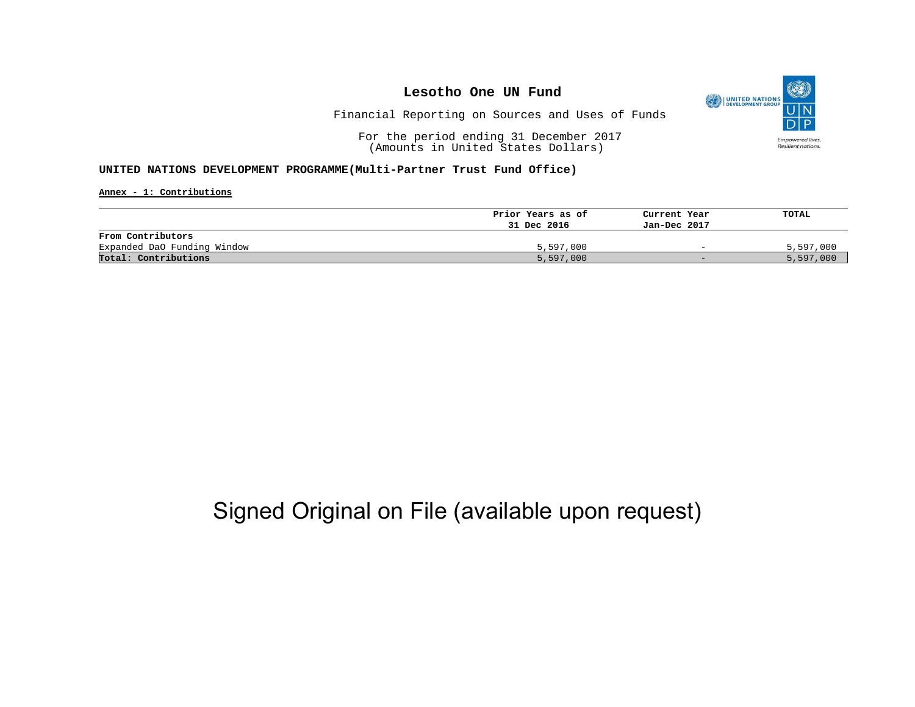

Financial Reporting on Sources and Uses of Funds

For the period ending 31 December 2017 (Amounts in United States Dollars)

#### **UNITED NATIONS DEVELOPMENT PROGRAMME(Multi-Partner Trust Fund Office)**

**Annex - 1: Contributions**

|                             | Prior Years as of | Current Year             | TOTAL     |
|-----------------------------|-------------------|--------------------------|-----------|
|                             | 31 Dec 2016       | Jan-Dec 2017             |           |
| From Contributors           |                   |                          |           |
| Expanded DaO Funding Window | 5,597,000         | $\overline{\phantom{0}}$ | 5,597,000 |
| Total: Contributions        | 5,597,000         | $-$                      | 5,597,000 |

## Signed Original on File (available upon request)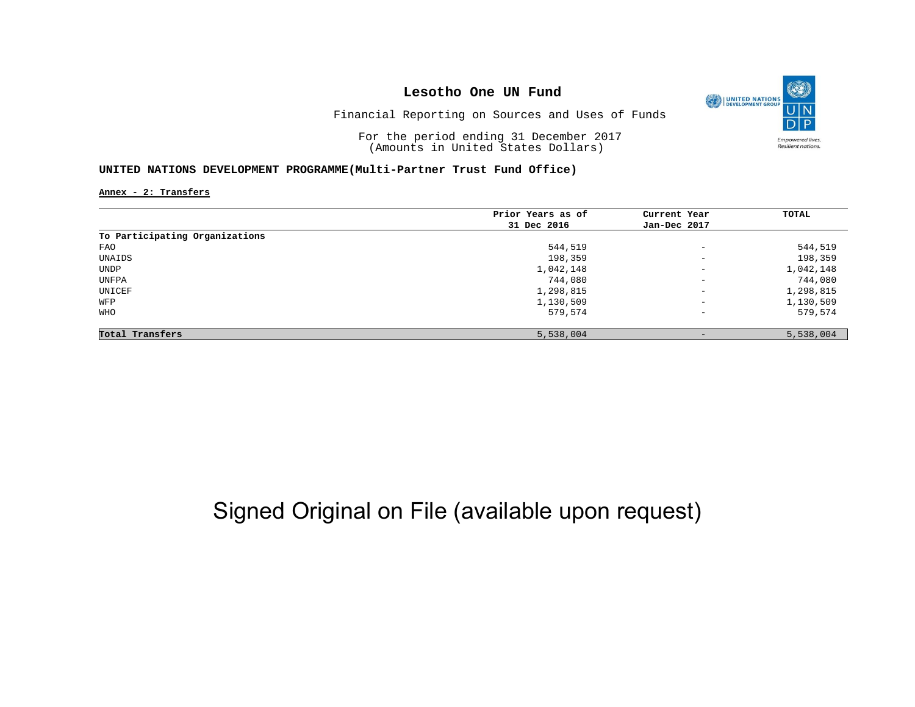

Financial Reporting on Sources and Uses of Funds

For the period ending 31 December 2017 (Amounts in United States Dollars)

#### **UNITED NATIONS DEVELOPMENT PROGRAMME(Multi-Partner Trust Fund Office)**

**Annex - 2: Transfers**

|                                | Prior Years as of | Current Year             | TOTAL     |
|--------------------------------|-------------------|--------------------------|-----------|
|                                | 31 Dec 2016       | Jan-Dec 2017             |           |
| To Participating Organizations |                   |                          |           |
| FAO                            | 544,519           | $\overline{\phantom{a}}$ | 544,519   |
| UNAIDS                         | 198,359           | $\overline{\phantom{0}}$ | 198,359   |
| UNDP                           | 1,042,148         | $\overline{\phantom{m}}$ | 1,042,148 |
| UNFPA                          | 744,080           | $\overline{\phantom{0}}$ | 744,080   |
| UNICEF                         | 1,298,815         | $\overline{\phantom{m}}$ | 1,298,815 |
| WFP                            | 1,130,509         | $\overline{\phantom{a}}$ | 1,130,509 |
| WHO                            | 579,574           | $\overline{\phantom{a}}$ | 579,574   |
| Total Transfers                | 5,538,004         | $\qquad \qquad -$        | 5,538,004 |

## Signed Original on File (available upon request)